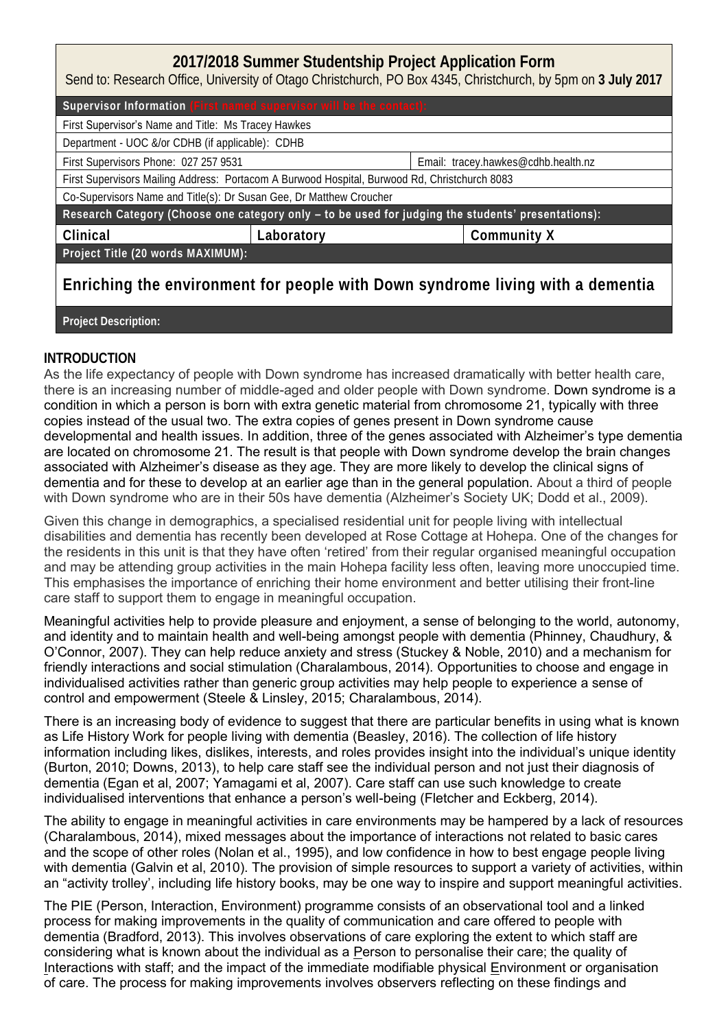## **2017/2018 Summer Studentship Project Application Form**

Send to: Research Office, University of Otago Christchurch, PO Box 4345, Christchurch, by 5pm on **3 July 2017**

| Supervisor Information |  |  | TRITICU JUDUL VIJUL WIIL DU LIIU CUILLUUL |  |
|------------------------|--|--|-------------------------------------------|--|
|------------------------|--|--|-------------------------------------------|--|

First Supervisor's Name and Title: Ms Tracey Hawkes

Department - UOC &/or CDHB (if applicable): CDHB

First Supervisors Phone: 027 257 9531 Email: tracey.hawkes@cdhb.health.nz

First Supervisors Mailing Address: Portacom A Burwood Hospital, Burwood Rd, Christchurch 8083

Co-Supervisors Name and Title(s): Dr Susan Gee, Dr Matthew Croucher

Research Category (Choose one category only **– to be used for judging the students' presentations)**:

**Clinical Laboratory Community X**

**Project Title (20 words MAXIMUM):**

# **Enriching the environment for people with Down syndrome living with a dementia**

**Project Description:**

### **INTRODUCTION**

As the life expectancy of people with Down syndrome has increased dramatically with better health care, there is an increasing number of middle-aged and older people with Down syndrome. Down syndrome is a condition in which a person is born with extra genetic material from chromosome 21, typically with three copies instead of the usual two. The extra copies of genes present in Down syndrome cause developmental and health issues. In addition, three of the genes associated with Alzheimer's type dementia are located on chromosome 21. The result is that people with Down syndrome develop the brain changes associated with Alzheimer's disease as they age. They are more likely to develop the clinical signs of dementia and for these to develop at an earlier age than in the general population. About a third of people with Down syndrome who are in their 50s have dementia (Alzheimer's Society UK; Dodd et al., 2009).

Given this change in demographics, a specialised residential unit for people living with intellectual disabilities and dementia has recently been developed at Rose Cottage at Hohepa. One of the changes for the residents in this unit is that they have often 'retired' from their regular organised meaningful occupation and may be attending group activities in the main Hohepa facility less often, leaving more unoccupied time. This emphasises the importance of enriching their home environment and better utilising their front-line care staff to support them to engage in meaningful occupation.

Meaningful activities help to provide pleasure and enjoyment, a sense of belonging to the world, autonomy, and identity and to maintain health and well-being amongst people with dementia (Phinney, Chaudhury, & O'Connor, 2007). They can help reduce anxiety and stress (Stuckey & Noble, 2010) and a mechanism for friendly interactions and social stimulation (Charalambous, 2014). Opportunities to choose and engage in individualised activities rather than generic group activities may help people to experience a sense of control and empowerment (Steele & Linsley, 2015; Charalambous, 2014).

There is an increasing body of evidence to suggest that there are particular benefits in using what is known as Life History Work for people living with dementia (Beasley, 2016). The collection of life history information including likes, dislikes, interests, and roles provides insight into the individual's unique identity (Burton, 2010; Downs, 2013), to help care staff see the individual person and not just their diagnosis of dementia (Egan et al, 2007; Yamagami et al, 2007). Care staff can use such knowledge to create individualised interventions that enhance a person's well-being (Fletcher and Eckberg, 2014).

The ability to engage in meaningful activities in care environments may be hampered by a lack of resources (Charalambous, 2014), mixed messages about the importance of interactions not related to basic cares and the scope of other roles (Nolan et al., 1995), and low confidence in how to best engage people living with dementia (Galvin et al, 2010). The provision of simple resources to support a variety of activities, within an "activity trolley', including life history books, may be one way to inspire and support meaningful activities.

The PIE (Person, Interaction, Environment) programme consists of an observational tool and a linked process for making improvements in the quality of communication and care offered to people with dementia (Bradford, 2013). This involves observations of care exploring the extent to which staff are considering what is known about the individual as a Person to personalise their care; the quality of Interactions with staff; and the impact of the immediate modifiable physical Environment or organisation of care. The process for making improvements involves observers reflecting on these findings and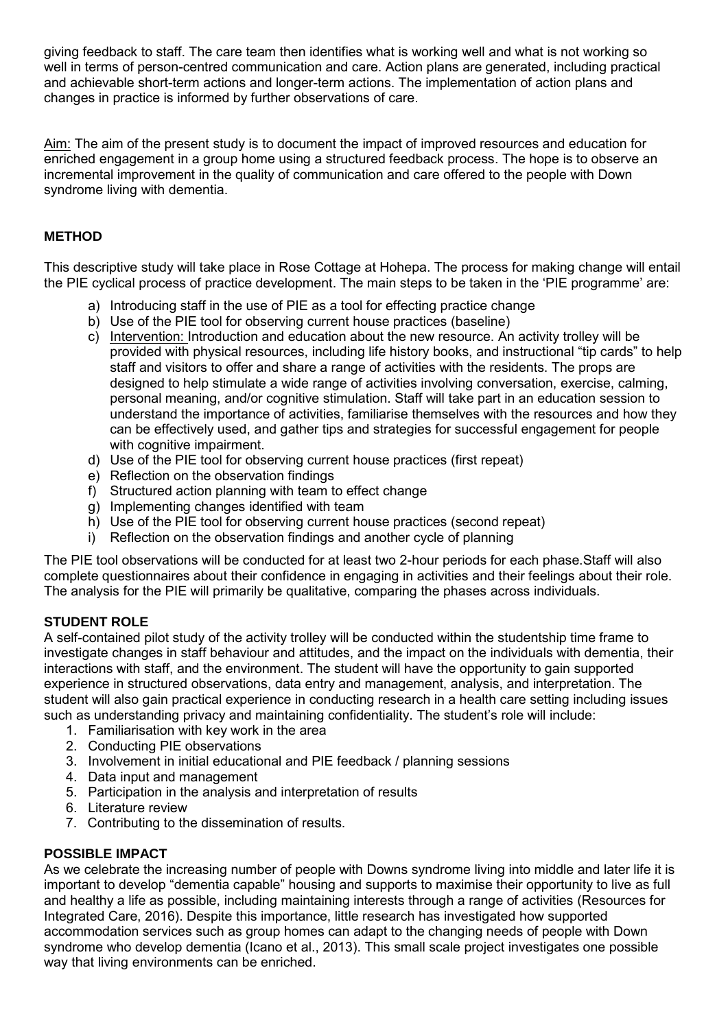giving feedback to staff. The care team then identifies what is working well and what is not working so well in terms of person-centred communication and care. Action plans are generated, including practical and achievable short-term actions and longer-term actions. The implementation of action plans and changes in practice is informed by further observations of care.

Aim: The aim of the present study is to document the impact of improved resources and education for enriched engagement in a group home using a structured feedback process. The hope is to observe an incremental improvement in the quality of communication and care offered to the people with Down syndrome living with dementia.

### **METHOD**

This descriptive study will take place in Rose Cottage at Hohepa. The process for making change will entail the PIE cyclical process of practice development. The main steps to be taken in the 'PIE programme' are:

- a) Introducing staff in the use of PIE as a tool for effecting practice change
- b) Use of the PIE tool for observing current house practices (baseline)
- c) Intervention: Introduction and education about the new resource. An activity trolley will be provided with physical resources, including life history books, and instructional "tip cards" to help staff and visitors to offer and share a range of activities with the residents. The props are designed to help stimulate a wide range of activities involving conversation, exercise, calming, personal meaning, and/or cognitive stimulation. Staff will take part in an education session to understand the importance of activities, familiarise themselves with the resources and how they can be effectively used, and gather tips and strategies for successful engagement for people with cognitive impairment.
- d) Use of the PIE tool for observing current house practices (first repeat)
- e) Reflection on the observation findings
- f) Structured action planning with team to effect change
- g) Implementing changes identified with team
- h) Use of the PIE tool for observing current house practices (second repeat)
- i) Reflection on the observation findings and another cycle of planning

The PIE tool observations will be conducted for at least two 2-hour periods for each phase.Staff will also complete questionnaires about their confidence in engaging in activities and their feelings about their role. The analysis for the PIE will primarily be qualitative, comparing the phases across individuals.

#### **STUDENT ROLE**

A self-contained pilot study of the activity trolley will be conducted within the studentship time frame to investigate changes in staff behaviour and attitudes, and the impact on the individuals with dementia, their interactions with staff, and the environment. The student will have the opportunity to gain supported experience in structured observations, data entry and management, analysis, and interpretation. The student will also gain practical experience in conducting research in a health care setting including issues such as understanding privacy and maintaining confidentiality. The student's role will include:

- 1. Familiarisation with key work in the area
- 2. Conducting PIE observations
- 3. Involvement in initial educational and PIE feedback / planning sessions
- 4. Data input and management
- 5. Participation in the analysis and interpretation of results
- 6. Literature review
- 7. Contributing to the dissemination of results.

#### **POSSIBLE IMPACT**

As we celebrate the increasing number of people with Downs syndrome living into middle and later life it is important to develop "dementia capable" housing and supports to maximise their opportunity to live as full and healthy a life as possible, including maintaining interests through a range of activities (Resources for Integrated Care, 2016). Despite this importance, little research has investigated how supported accommodation services such as group homes can adapt to the changing needs of people with Down syndrome who develop dementia (Icano et al., 2013). This small scale project investigates one possible way that living environments can be enriched.